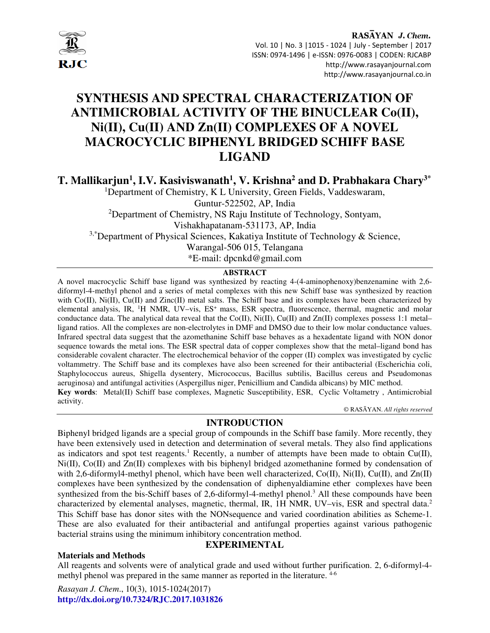

# **SYNTHESIS AND SPECTRAL CHARACTERIZATION OF ANTIMICROBIAL ACTIVITY OF THE BINUCLEAR Co(II), Ni(II), Cu(II) AND Zn(II) COMPLEXES OF A NOVEL MACROCYCLIC BIPHENYL BRIDGED SCHIFF BASE LIGAND**

**T. Mallikarjun<sup>1</sup> , I.V. Kasiviswanath<sup>1</sup> , V. Krishna<sup>2</sup> and D. Prabhakara Chary3\***

<sup>1</sup>Department of Chemistry, K L University, Green Fields, Vaddeswaram, Guntur-522502, AP, India <sup>2</sup>Department of Chemistry, NS Raju Institute of Technology, Sontyam, Vishakhapatanam-531173, AP, India <sup>3,\*</sup>Department of Physical Sciences, Kakatiya Institute of Technology & Science, Warangal-506 015, Telangana

\*E-mail: dpcnkd@gmail.com

# **ABSTRACT**

A novel macrocyclic Schiff base ligand was synthesized by reacting 4-(4-aminophenoxy)benzenamine with 2,6 diformyl-4-methyl phenol and a series of metal complexes with this new Schiff base was synthesized by reaction with  $Co(II)$ ,  $Ni(II)$ ,  $Cu(II)$  and  $Zinc(II)$  metal salts. The Schiff base and its complexes have been characterized by elemental analysis, IR, <sup>1</sup>H NMR, UV–vis, ES<sup>+</sup>mass, ESR spectra, fluorescence, thermal, magnetic and molar conductance data. The analytical data reveal that the Co(II),  $Ni(II)$ , Cu(II) and Zn(II) complexes possess 1:1 metal– ligand ratios. All the complexes are non-electrolytes in DMF and DMSO due to their low molar conductance values. Infrared spectral data suggest that the azomethanine Schiff base behaves as a hexadentate ligand with NON donor sequence towards the metal ions. The ESR spectral data of copper complexes show that the metal–ligand bond has considerable covalent character. The electrochemical behavior of the copper (II) complex was investigated by cyclic voltammetry. The Schiff base and its complexes have also been screened for their antibacterial (Escherichia coli, Staphylococcus aureus, Shigella dysentery, Micrococcus, Bacillus subtilis, Bacillus cereus and Pseudomonas aeruginosa) and antifungal activities (Aspergillus niger, Penicillium and Candida albicans) by MIC method. **Key words**: Metal(II) Schiff base complexes, Magnetic Susceptibility, ESR, Cyclic Voltametry , Antimicrobial activity.

© RASĀYAN. *All rights reserved*

# **INTRODUCTION**

Biphenyl bridged ligands are a special group of compounds in the Schiff base family. More recently, they have been extensively used in detection and determination of several metals. They also find applications as indicators and spot test reagents.<sup>1</sup> Recently, a number of attempts have been made to obtain Cu(II), Ni(II), Co(II) and Zn(II) complexes with bis biphenyl bridged azomethanine formed by condensation of with 2,6-diformyl4-methyl phenol, which have been well characterized,  $Co(II)$ ,  $Ni(II)$ ,  $Cu(II)$ , and  $Zn(II)$ complexes have been synthesized by the condensation of diphenyaldiamine ether complexes have been synthesized from the bis-Schiff bases of 2,6-diformyl-4-methyl phenol.<sup>3</sup> All these compounds have been characterized by elemental analyses, magnetic, thermal, IR, 1H NMR, UV–vis, ESR and spectral data.<sup>2</sup> This Schiff base has donor sites with the NONsequence and varied coordination abilities as Scheme-1. These are also evaluated for their antibacterial and antifungal properties against various pathogenic bacterial strains using the minimum inhibitory concentration method.

# **EXPERIMENTAL**

# **Materials and Methods**

All reagents and solvents were of analytical grade and used without further purification. 2, 6-diformyl-4 methyl phenol was prepared in the same manner as reported in the literature.  $4-6$ 

*Rasayan J. Chem*., 10(3), 1015-1024(2017) **http://dx.doi.org/10.7324/RJC.2017.1031826**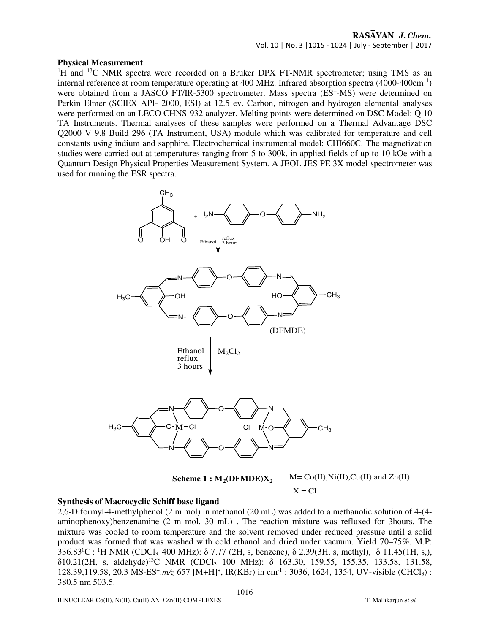## **Physical Measurement**

<sup>1</sup>H and <sup>13</sup>C NMR spectra were recorded on a Bruker DPX FT-NMR spectrometer; using TMS as an internal reference at room temperature operating at 400 MHz. Infrared absorption spectra (4000-400cm<sup>-1</sup>) were obtained from a JASCO FT/IR-5300 spectrometer. Mass spectra (ES<sup>+</sup>-MS) were determined on Perkin Elmer (SCIEX API- 2000, ESI) at 12.5 ev. Carbon, nitrogen and hydrogen elemental analyses were performed on an LECO CHNS-932 analyzer. Melting points were determined on DSC Model: Q 10 TA Instruments. Thermal analyses of these samples were performed on a Thermal Advantage DSC Q2000 V 9.8 Build 296 (TA Instrument, USA) module which was calibrated for temperature and cell constants using indium and sapphire. Electrochemical instrumental model: CHI660C. The magnetization studies were carried out at temperatures ranging from 5 to 300k, in applied fields of up to 10 kOe with a Quantum Design Physical Properties Measurement System. A JEOL JES PE 3X model spectrometer was used for running the ESR spectra.



 $M = Co(II), Ni(II), Cu(II)$  and  $Zn(II)$ **Scheme 1 : M<sup>2</sup> (DFMDE)X<sup>2</sup>**  $X = Cl$ 

# **Synthesis of Macrocyclic Schiff base ligand**

2,6-Diformyl-4-methylphenol (2 m mol) in methanol (20 mL) was added to a methanolic solution of 4-(4 aminophenoxy)benzenamine (2 m mol, 30 mL) . The reaction mixture was refluxed for 3hours. The mixture was cooled to room temperature and the solvent removed under reduced pressure until a solid product was formed that was washed with cold ethanol and dried under vacuum. Yield 70–75%. M.P: 336.83<sup>o</sup>C : <sup>1</sup>H NMR (CDCl<sub>3,</sub> 400 MHz):  $\delta$  7.77 (2H, s, benzene),  $\delta$  2.39(3H, s, methyl),  $\delta$  11.45(1H, s,), δ10.21(2H, s, aldehyde)<sup>13</sup>C NMR (CDCl3 100 MHz): δ 163.30, 159.55, 155.35, 133.58, 131.58, 128.39,119.58, 20.3 MS-ES<sup>+</sup>:*m/z* 657 [M+H]<sup>+</sup>, IR(KBr) in cm<sup>-1</sup> : 3036, 1624, 1354, UV-visible (CHCl<sub>3</sub>) : 380.5 nm 503.5.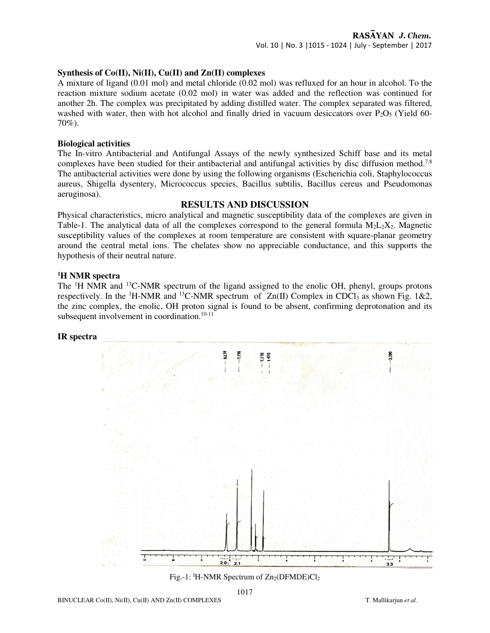# **Synthesis of Co(II), Ni(II), Cu(II) and Zn(II) complexes**

A mixture of ligand (0.01 mol) and metal chloride (0.02 mol) was refluxed for an hour in alcohol. To the reaction mixture sodium acetate (0.02 mol) in water was added and the reflection was continued for another 2h. The complex was precipitated by adding distilled water. The complex separated was filtered, washed with water, then with hot alcohol and finally dried in vacuum desiccators over  $P_2O_5$  (Yield 60-70%).

## **Biological activities**

The In-vitro Antibacterial and Antifungal Assays of the newly synthesized Schiff base and its metal complexes have been studied for their antibacterial and antifungal activities by disc diffusion method.<sup>7,8</sup> The antibacterial activities were done by using the following organisms (Escherichia coli, Staphylococcus aureus, Shigella dysentery, Micrococcus species, Bacillus subtilis, Bacillus cereus and Pseudomonas aeruginosa).

## **RESULTS AND DISCUSSION**

Physical characteristics, micro analytical and magnetic susceptibility data of the complexes are given in Table-1. The analytical data of all the complexes correspond to the general formula  $M_2L_2X_2$ . Magnetic susceptibility values of the complexes at room temperature are consistent with square-planar geometry around the central metal ions. The chelates show no appreciable conductance, and this supports the hypothesis of their neutral nature.

## **<sup>1</sup>H NMR spectra**

The <sup>1</sup>H NMR and <sup>13</sup>C-NMR spectrum of the ligand assigned to the enolic OH, phenyl, groups protons respectively. In the <sup>1</sup>H-NMR and <sup>13</sup>C-NMR spectrum of  $Zn(II)$  Complex in CDCl<sub>3</sub> as shown Fig. 1&2, the zinc complex, the enolic, OH proton signal is found to be absent, confirming deprotonation and its subsequent involvement in coordination.<sup>10-11</sup>

#### **IR spectra**



Fig.-1: <sup>I</sup>H-NMR Spectrum of  $Zn_2(DFMDE)Cl_2$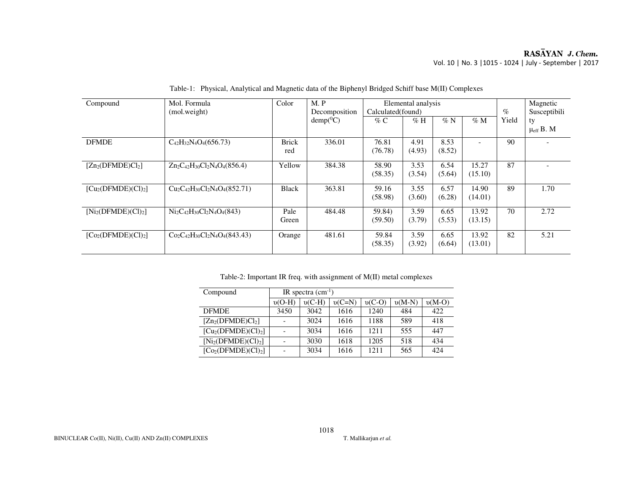# RASĀYAN J. Chem. Vol. 10 | No. 3 |1015 - 1024 | July - September | 2017

| Compound                      | Mol. Formula                         | Color        | M.P           | Elemental analysis |        |        |         | Magnetic     |                      |
|-------------------------------|--------------------------------------|--------------|---------------|--------------------|--------|--------|---------|--------------|----------------------|
|                               | (mol.weight)                         |              | Decomposition | Calculated(found)  |        |        | $\%$    | Susceptibili |                      |
|                               |                                      |              | $demp(^0C)$   | $\%$ C             | $\%$ H | $\%$ N | $\%$ M  | Yield        | ty                   |
|                               |                                      |              |               |                    |        |        |         |              | $\mu_{\rm eff}$ B. M |
| <b>DFMDE</b>                  | $C_{42}H_{32}N_4O_4(656.73)$         | <b>Brick</b> | 336.01        | 76.81              | 4.91   | 8.53   |         | 90           |                      |
|                               |                                      | red          |               | (76.78)            | (4.93) | (8.52) |         |              |                      |
| $[Zn_2(DFMDE)Cl_2]$           | $Zn_2C_{42}H_{30}Cl_2N_4O_4(856.4)$  | Yellow       | 384.38        | 58.90              | 3.53   | 6.54   | 15.27   | 87           |                      |
|                               |                                      |              |               | (58.35)            | (3.54) | (5.64) | (15.10) |              |                      |
| $[Cu2(DFMDE)(Cl)2]$           | $Cu_2C_{42}H_{30}Cl_2N_4O_4(852.71)$ | Black        | 363.81        | 59.16              | 3.55   | 6.57   | 14.90   | 89           | 1.70                 |
|                               |                                      |              |               | (58.98)            | (3.60) | (6.28) | (14.01) |              |                      |
| $[Ni2(DFMDE)(Cl)2]$           | $Ni2C42H30Cl2N4O4(843)$              | Pale         | 484.48        | 59.84)             | 3.59   | 6.65   | 13.92   | 70           | 2.72                 |
|                               |                                      | Green        |               | (59.50)            | (3.79) | (5.53) | (13.15) |              |                      |
| [Co(DFMDE)(Cl) <sub>2</sub> ] | $Co_2C_{42}H_{30}Cl_2N_4O_4(843.43)$ | Orange       | 481.61        | 59.84              | 3.59   | 6.65   | 13.92   | 82           | 5.21                 |
|                               |                                      |              |               | (58.35)            | (3.92) | (6.64) | (13.01) |              |                      |
|                               |                                      |              |               |                    |        |        |         |              |                      |

Table-1: Physical, Analytical and Magnetic data of the Biphenyl Bridged Schiff base M(II) Complexes

Table-2: Important IR freq. with assignment of M(II) metal complexes

| Compound             | IR spectra $(cm^{-1})$ |          |          |          |          |          |  |  |
|----------------------|------------------------|----------|----------|----------|----------|----------|--|--|
|                      | $v(O-H)$               | $v(C-H)$ | $v(C=N)$ | $v(C-O)$ | $v(M-N)$ | $v(M-O)$ |  |  |
| <b>DEMDE</b>         | 3450                   | 3042     | 1616     | 1240     | 484      | 422      |  |  |
| $[Zn_2(DFMDE)Cl_2]$  |                        | 3024     | 1616     | 1188     | 589      | 418      |  |  |
| $[Cu2(DFMDE)(Cl)2]$  |                        | 3034     | 1616     | 1211     | 555      | 447      |  |  |
| $[Ni_2(DFMDE)(Cl)2]$ |                        | 3030     | 1618     | 1205     | 518      | 434      |  |  |
| $[Co2(DFMDE)(Cl)2]$  |                        | 3034     | 1616     | 1211     | 565      | 424      |  |  |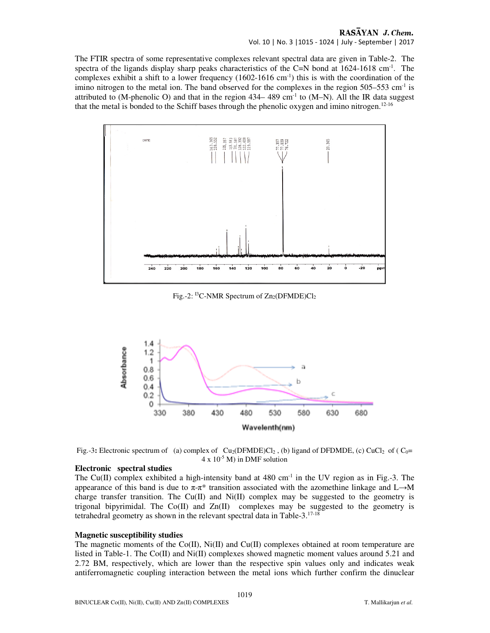#### RASAYAN J. Chem. Vol. 10 | No. 3 |1015 - 1024 | July - September | 2017

The FTIR spectra of some representative complexes relevant spectral data are given in Table-2. The spectra of the ligands display sharp peaks characteristics of the C=N bond at  $1624-1618$  cm<sup>-1</sup>. The complexes exhibit a shift to a lower frequency  $(1602-1616 \text{ cm}^{-1})$  this is with the coordination of the imino nitrogen to the metal ion. The band observed for the complexes in the region  $505-553$  cm<sup>-1</sup> is attributed to (M-phenolic O) and that in the region  $434-489$  cm<sup>-1</sup> to (M-N). All the IR data suggest that the metal is bonded to the Schiff bases through the phenolic oxygen and imino nitrogen.12-16



Fig.-2: <sup>13</sup>C-NMR Spectrum of  $Zn_2(DFMDE)Cl_2$ 



Fig.-3: Electronic spectrum of (a) complex of Cu<sub>2</sub>(DFMDE)Cl<sub>2</sub>, (b) ligand of DFDMDE, (c) CuCl<sub>2</sub> of (C<sub>0</sub>=  $4 \times 10^{-5}$  M) in DMF solution

#### **Electronic spectral studies**

The Cu(II) complex exhibited a high-intensity band at  $480 \text{ cm}^{-1}$  in the UV region as in Fig.-3. The appearance of this band is due to  $\pi$ - $\pi$ <sup>\*</sup> transition associated with the azomethine linkage and L→M charge transfer transition. The  $Cu(II)$  and  $Ni(II)$  complex may be suggested to the geometry is trigonal bipyrimidal. The  $Co(II)$  and  $Zn(II)$  complexes may be suggested to the geometry is tetrahedral geometry as shown in the relevant spectral data in Table-3.17-18

#### **Magnetic susceptibility studies**

The magnetic moments of the Co(II), Ni(II) and Cu(II) complexes obtained at room temperature are listed in Table-1. The Co(II) and Ni(II) complexes showed magnetic moment values around 5.21 and 2.72 BM, respectively, which are lower than the respective spin values only and indicates weak antiferromagnetic coupling interaction between the metal ions which further confirm the dinuclear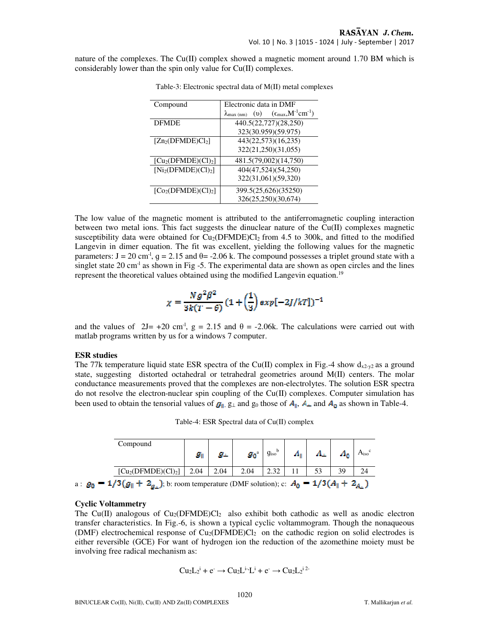nature of the complexes. The Cu(II) complex showed a magnetic moment around 1.70 BM which is considerably lower than the spin only value for Cu(II) complexes.

| Electronic data in DMF                                                                 |  |  |  |  |  |  |
|----------------------------------------------------------------------------------------|--|--|--|--|--|--|
| $(\epsilon_{\text{max}}, M^{-1} \text{cm}^{-1})$<br>(v)<br>$\lambda_{\text{max (nm)}}$ |  |  |  |  |  |  |
| 440.5(22,727)(28,250)                                                                  |  |  |  |  |  |  |
| 323(30.959)(59.975)                                                                    |  |  |  |  |  |  |
| 443(22,573)(16,235)                                                                    |  |  |  |  |  |  |
| 322(21,250)(31,055)                                                                    |  |  |  |  |  |  |
| 481.5(79,002)(14,750)                                                                  |  |  |  |  |  |  |
| 404(47,524)(54,250)                                                                    |  |  |  |  |  |  |
| 322(31,061)(59,320)                                                                    |  |  |  |  |  |  |
| 399.5(25,626)(35250)                                                                   |  |  |  |  |  |  |
| 326(25,250)(30,674)                                                                    |  |  |  |  |  |  |
|                                                                                        |  |  |  |  |  |  |

Table-3: Electronic spectral data of M(II) metal complexes

The low value of the magnetic moment is attributed to the antiferromagnetic coupling interaction between two metal ions. This fact suggests the dinuclear nature of the Cu(II) complexes magnetic susceptibility data were obtained for  $Cu_2(DFMDE)Cl_2$  from 4.5 to 300k, and fitted to the modified Langevin in dimer equation. The fit was excellent, yielding the following values for the magnetic parameters:  $J = 20$  cm<sup>-1</sup>,  $g = 2.15$  and  $\theta = -2.06$  k. The compound possesses a triplet ground state with a singlet state 20 cm<sup>-1</sup> as shown in Fig -5. The experimental data are shown as open circles and the lines represent the theoretical values obtained using the modified Langevin equation.<sup>19</sup>

$$
\chi = \frac{Ng^2\beta^2}{3k(T - \theta)} (1 + \left(\frac{1}{3}\right) exp[-2J/kT])^{-1}
$$

and the values of  $2J= +20$  cm<sup>-1</sup>, g = 2.15 and  $\theta = -2.06k$ . The calculations were carried out with matlab programs written by us for a windows 7 computer.

#### **ESR studies**

The 77k temperature liquid state ESR spectra of the Cu(II) complex in Fig.-4 show  $d_{x2-y2}$  as a ground state, suggesting distorted octahedral or tetrahedral geometries around M(II) centers. The molar conductance measurements proved that the complexes are non-electrolytes. The solution ESR spectra do not resolve the electron-nuclear spin coupling of the  $Cu(II)$  complexes. Computer simulation has been used to obtain the tensorial values of  $g_{\parallel}$ ,  $g_{\perp}$  and  $g_0$  those of  $A_{\parallel}$ ,  $A_{\perp}$  and  $A_0$  as shown in Table-4.

Table-4: ESR Spectral data of Cu(II) complex

| Compound            |                                   |      |                             |                       |             |    |    |                  |
|---------------------|-----------------------------------|------|-----------------------------|-----------------------|-------------|----|----|------------------|
|                     | $g_{\scriptscriptstyle\parallel}$ | 42 a | $\mathbf{g}_0$ <sup>a</sup> | b<br>g <sub>iso</sub> | <b>A</b> St |    |    | A <sub>iso</sub> |
| $[Cu2(DFMDE)(Cl)2]$ | 2.04                              | 2.04 | 2.04                        | $\Omega$<br>ے ت       |             | 53 | 39 |                  |

a :  $g_0 = 1/3(g_{\parallel} + 2_{g_{\perp}})$ ; b: room temperature (DMF solution); c:  $A_0 = 1/3(A_{\parallel} + 2_{A_{\perp}})$ 

#### **Cyclic Voltammetry**

The Cu(II) analogous of  $Cu_2(DFMDE)Cl_2$  also exhibit both cathodic as well as anodic electron transfer characteristics. In Fig.-6, is shown a typical cyclic voltammogram. Though the nonaqueous (DMF) electrochemical response of  $Cu<sub>2</sub>(DFMDE)Cl<sub>2</sub>$  on the cathodic region on solid electrodes is either reversible (GCE) For want of hydrogen ion the reduction of the azomethine moiety must be involving free radical mechanism as:

$$
Cu_2L_2{}^i + e^- \rightarrow Cu_2L{}^{i-}L{}^i + e^- \rightarrow Cu_2L_2{}^{i\,2-}
$$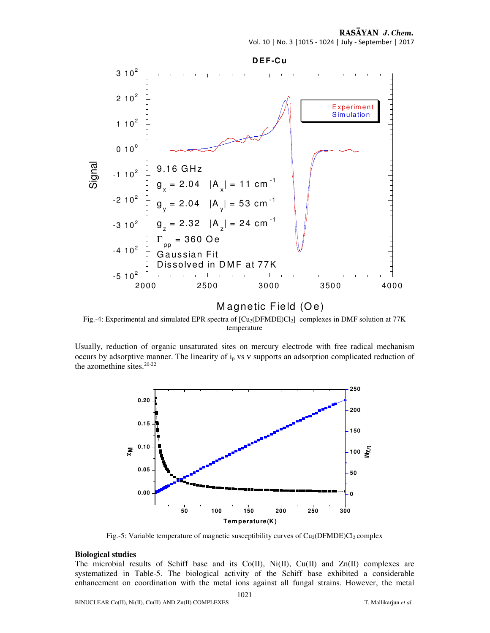#### RASAYAN J. Chem.

Vol. 10 | No. 3 |1015 - 1024 | July - September | 2017



# Magnetic Field (Oe)

Fig.-4: Experimental and simulated EPR spectra of [Cu<sub>2</sub>(DFMDE)Cl<sub>2</sub>] complexes in DMF solution at 77K temperature

Usually, reduction of organic unsaturated sites on mercury electrode with free radical mechanism occurs by adsorptive manner. The linearity of ip vs ν supports an adsorption complicated reduction of the azomethine sites.<sup>20-22</sup>



Fig.-5: Variable temperature of magnetic susceptibility curves of  $Cu_2(DFMDE)Cl_2$  complex

#### **Biological studies**

The microbial results of Schiff base and its  $Co(II)$ ,  $Ni(II)$ ,  $Cu(II)$  and  $Zn(II)$  complexes are systematized in Table-5. The biological activity of the Schiff base exhibited a considerable enhancement on coordination with the metal ions against all fungal strains. However, the metal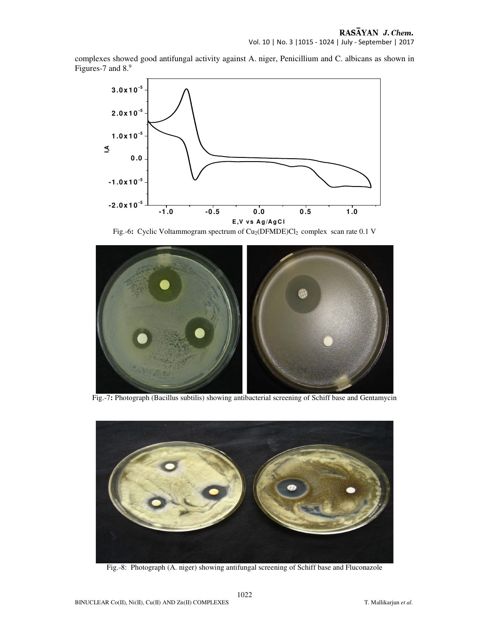complexes showed good antifungal activity against A. niger, Penicillium and C. albicans as shown in Figures-7 and 8.9



Fig.-6: Cyclic Voltammogram spectrum of Cu<sub>2</sub>(DFMDE)Cl<sub>2</sub> complex scan rate 0.1 V



Fig.-7**:** Photograph (Bacillus subtilis) showing antibacterial screening of Schiff base and Gentamycin



Fig.-8: Photograph (A. niger) showing antifungal screening of Schiff base and Fluconazole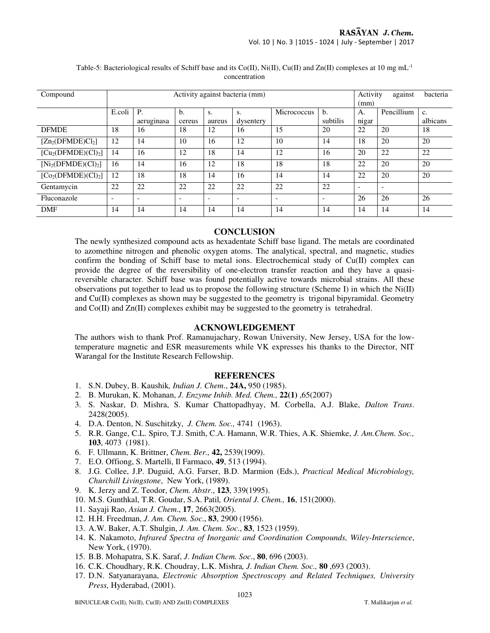| Compound            | Activity against bacteria (mm) |                          |                          |        |                          |             | Activity<br>(mm)         | bacteria                 |                          |          |
|---------------------|--------------------------------|--------------------------|--------------------------|--------|--------------------------|-------------|--------------------------|--------------------------|--------------------------|----------|
|                     | E.coli                         | <b>P.</b>                | b.                       | S.     | S.                       | Micrococcus | b.                       | А.                       | Pencillium               | c.       |
|                     |                                | aeruginasa               | cereus                   | aureus | dysentery                |             | subtilis                 | nigar                    |                          | albicans |
| <b>DFMDE</b>        | 18                             | 16                       | 18                       | 12     | 16                       | 15          | 20                       | 22                       | 20                       | 18       |
| $[Zn_2(DFMDE)Cl_2]$ | 12                             | 14                       | 10                       | 16     | 12                       | 10          | 14                       | 18                       | 20                       | 20       |
| $[Cu2(DFMDE)(Cl)2]$ | 14                             | 16                       | 12                       | 18     | 14                       | 12          | 16                       | 20                       | 22                       | 22       |
| $[Ni2(DFMDE)(Cl)2]$ | 16                             | 14                       | 16                       | 12     | 18                       | 18          | 18                       | 22                       | 20                       | 20       |
| $[Co2(DFMDE)(Cl)2]$ | 12                             | 18                       | 18                       | 14     | 16                       | 14          | 14                       | 22                       | 20                       | 20       |
| Gentamycin          | 22                             | 22                       | 22                       | 22     | 22                       | 22          | 22                       | $\overline{\phantom{a}}$ | $\overline{\phantom{a}}$ |          |
| Fluconazole         | $\overline{\phantom{a}}$       | $\overline{\phantom{a}}$ | $\overline{\phantom{a}}$ | -      | $\overline{\phantom{a}}$ |             | $\overline{\phantom{a}}$ | 26                       | 26                       | 26       |
| <b>DMF</b>          | 14                             | 14                       | 14                       | 14     | 14                       | 14          | 14                       | 14                       | 14                       | 14       |

#### Table-5: Bacteriological results of Schiff base and its Co(II), Ni(II), Cu(II) and Zn(II) complexes at 10 mg mL<sup>-1</sup> concentration

#### **CONCLUSION**

The newly synthesized compound acts as hexadentate Schiff base ligand. The metals are coordinated to azomethine nitrogen and phenolic oxygen atoms. The analytical, spectral, and magnetic, studies confirm the bonding of Schiff base to metal ions. Electrochemical study of Cu(II) complex can provide the degree of the reversibility of one-electron transfer reaction and they have a quasireversible character. Schiff base was found potentially active towards microbial strains. All these observations put together to lead us to propose the following structure (Scheme I) in which the  $Ni(II)$ and Cu(II) complexes as shown may be suggested to the geometry is trigonal bipyramidal. Geometry and Co(II) and Zn(II) complexes exhibit may be suggested to the geometry is tetrahedral.

#### **ACKNOWLEDGEMENT**

The authors wish to thank Prof. Ramanujachary, Rowan University, New Jersey, USA for the lowtemperature magnetic and ESR measurements while VK expresses his thanks to the Director, NIT Warangal for the Institute Research Fellowship.

#### **REFERENCES**

- 1. S.N. Dubey, B. Kaushik*, Indian J. Chem*., **24A,** 950 (1985).
- 2. B. Murukan, K. Mohanan, *J. Enzyme Inhib. Med. Chem.,* **22(1)** ,65(2007)
- 3. S. Naskar, D. Mishra, S. Kumar Chattopadhyay, M. Corbella, A.J. Blake, *Dalton Trans*. 2428(2005).
- 4. D.A. Denton, N. Suschitzky, *J. Chem. Soc.,* 4741 (1963).
- 5. R.R. Gange, C.L. Spiro, T.J. Smith, C.A. Hamann, W.R. Thies, A.K. Shiemke, *J. Am.Chem. Soc.,*  **103**, 4073 (1981).
- 6. F. Ullmann, K. Brittner, *Chem. Ber.,* **42,** 2539(1909).
- 7. E.O. Offiong, S. Martelli, Il Farmaco, **49**, 513 (1994).
- 8. J.G. Collee, J.P. Duguid, A.G. Farser, B.D. Marmion (Eds.), *Practical Medical Microbiology, Churchill Livingstone*, New York, (1989).
- 9. K. Jerzy and Z. Teodor, *Chem. Abstr*., **123**, 339(1995).
- 10. M.S. Gunthkal, T.R. Goudar, S.A. Patil*, Oriental J. Chem.,* **16**, 151(2000).
- 11. Sayaji Rao, *Asian J. Chem*., **17**, 2663(2005).
- 12. H.H. Freedman, *J. Am. Chem. Soc*., **83**, 2900 (1956).
- 13. A.W. Baker, A.T. Shulgin, *J. Am. Chem. Soc*., **83**, 1523 (1959).
- 14. K. Nakamoto, *Infrared Spectra of Inorganic and Coordination Compounds, Wiley-Interscience*, New York, (1970).
- 15. B.B. Mohapatra, S.K. Saraf, *J. Indian Chem. Soc*., **80**, 696 (2003).
- 16. C.K. Choudhary, R.K. Choudray, L.K. Mishra*, J. Indian Chem. Soc.,* **80** ,693 (2003).
- 17. D.N. Satyanarayana, *Electronic Absorption Spectroscopy and Related Techniques, University Press,* Hyderabad, (2001).